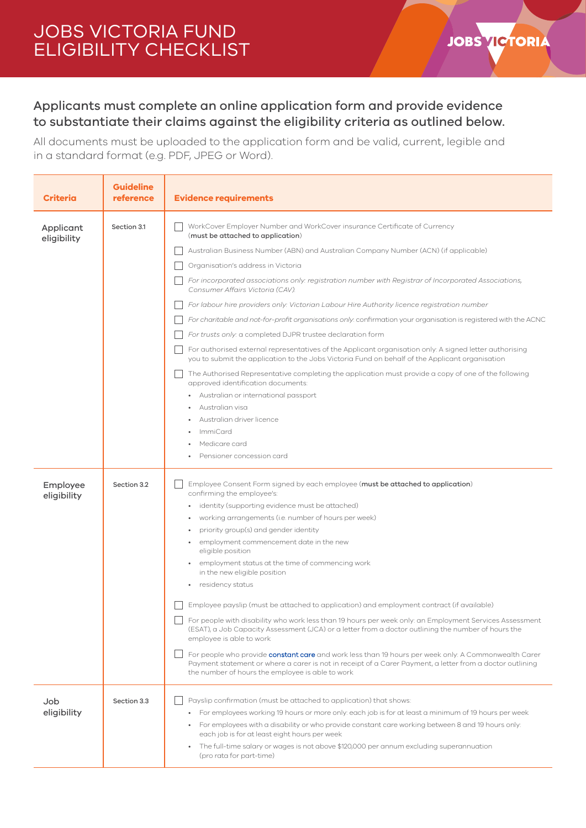## JOBS VICTORIA FUND ELIGIBILITY CHECKLIST

## Applicants must complete an online application form and provide evidence to substantiate their claims against the eligibility criteria as outlined below.

**JOBS VICTORIA** 

All documents must be uploaded to the application form and be valid, current, legible and in a standard format (e.g. PDF, JPEG or Word).

| Criteria                 | <b>Guideline</b><br>reference | <b>Evidence requirements</b>                                                                                                                                                                                                                                                                                                                                                                                                                                                                                                                                                                                                                                                                                                                                                                                                                                                                                                                                                                                                                                                                                                                                                                   |
|--------------------------|-------------------------------|------------------------------------------------------------------------------------------------------------------------------------------------------------------------------------------------------------------------------------------------------------------------------------------------------------------------------------------------------------------------------------------------------------------------------------------------------------------------------------------------------------------------------------------------------------------------------------------------------------------------------------------------------------------------------------------------------------------------------------------------------------------------------------------------------------------------------------------------------------------------------------------------------------------------------------------------------------------------------------------------------------------------------------------------------------------------------------------------------------------------------------------------------------------------------------------------|
| Applicant<br>eligibility | Section 3.1                   | WorkCover Employer Number and WorkCover insurance Certificate of Currency<br>(must be attached to application)<br>Australian Business Number (ABN) and Australian Company Number (ACN) (if applicable)<br>Organisation's address in Victoria<br>For incorporated associations only: registration number with Registrar of Incorporated Associations,<br>Consumer Affairs Victoria (CAV).<br>For labour hire providers only: Victorian Labour Hire Authority licence registration number<br>For charitable and not-for-profit organisations only: confirmation your organisation is registered with the ACNC<br>For trusts only: a completed DJPR trustee declaration form<br>For authorised external representatives of the Applicant organisation only: A signed letter authorising<br>you to submit the application to the Jobs Victoria Fund on behalf of the Applicant organisation<br>The Authorised Representative completing the application must provide a copy of one of the following<br>approved identification documents:<br>Australian or international passport<br>Australian visa<br>Australian driver licence<br><b>ImmiCard</b><br>Medicare card<br>Pensioner concession card |
| Employee<br>eligibility  | Section 3.2                   | Employee Consent Form signed by each employee (must be attached to application)<br>confirming the employee's:<br>identity (supporting evidence must be attached)<br>working arrangements (i.e. number of hours per week)<br>priority group(s) and gender identity<br>employment commencement date in the new<br>eligible position<br>employment status at the time of commencing work<br>in the new eligible position<br>residency status<br>Employee payslip (must be attached to application) and employment contract (if available)<br>For people with disability who work less than 19 hours per week only: an Employment Services Assessment<br>(ESAT), a Job Capacity Assessment (JCA) or a letter from a doctor outlining the number of hours the<br>employee is able to work<br>For people who provide constant care and work less than 19 hours per week only: A Commonwealth Carer<br>Payment statement or where a carer is not in receipt of a Carer Payment, a letter from a doctor outlining<br>the number of hours the employee is able to work                                                                                                                                  |
| Job<br>eligibility       | Section 3.3                   | Payslip confirmation (must be attached to application) that shows:<br>• For employees working 19 hours or more only: each job is for at least a minimum of 19 hours per week<br>• For employees with a disability or who provide constant care working between 8 and 19 hours only:<br>each job is for at least eight hours per week<br>The full-time salary or wages is not above \$120,000 per annum excluding superannuation<br>$\bullet$<br>(pro rata for part-time)                                                                                                                                                                                                                                                                                                                                                                                                                                                                                                                                                                                                                                                                                                                       |